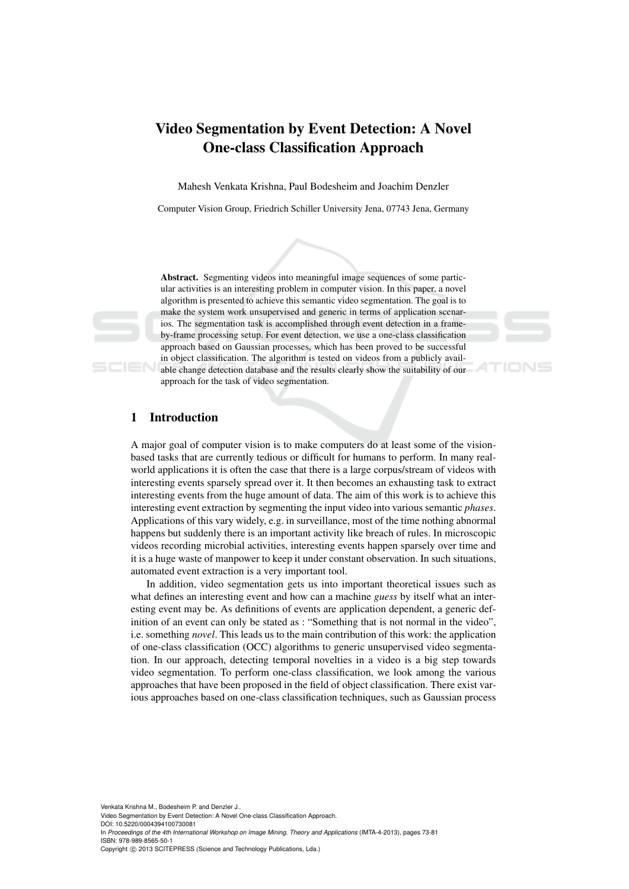# Video Segmentation by Event Detection: A Novel One-class Classification Approach

Mahesh Venkata Krishna, Paul Bodesheim and Joachim Denzler

Computer Vision Group, Friedrich Schiller University Jena, 07743 Jena, Germany



Abstract. Segmenting videos into meaningful image sequences of some particular activities is an interesting problem in computer vision. In this paper, a novel algorithm is presented to achieve this semantic video segmentation. The goal is to make the system work unsupervised and generic in terms of application scenarios. The segmentation task is accomplished through event detection in a frameby-frame processing setup. For event detection, we use a one-class classification approach based on Gaussian processes, which has been proved to be successful in object classification. The algorithm is tested on videos from a publicly available change detection database and the results clearly show the suitability of our approach for the task of video segmentation.

TIONS

# 1 Introduction

A major goal of computer vision is to make computers do at least some of the visionbased tasks that are currently tedious or difficult for humans to perform. In many realworld applications it is often the case that there is a large corpus/stream of videos with interesting events sparsely spread over it. It then becomes an exhausting task to extract interesting events from the huge amount of data. The aim of this work is to achieve this interesting event extraction by segmenting the input video into various semantic *phases*. Applications of this vary widely, e.g. in surveillance, most of the time nothing abnormal happens but suddenly there is an important activity like breach of rules. In microscopic videos recording microbial activities, interesting events happen sparsely over time and it is a huge waste of manpower to keep it under constant observation. In such situations, automated event extraction is a very important tool.

In addition, video segmentation gets us into important theoretical issues such as what defines an interesting event and how can a machine *guess* by itself what an interesting event may be. As definitions of events are application dependent, a generic definition of an event can only be stated as : "Something that is not normal in the video", i.e. something *novel*. This leads us to the main contribution of this work: the application of one-class classification (OCC) algorithms to generic unsupervised video segmentation. In our approach, detecting temporal novelties in a video is a big step towards video segmentation. To perform one-class classification, we look among the various approaches that have been proposed in the field of object classification. There exist various approaches based on one-class classification techniques, such as Gaussian process

Venkata Krishna M., Bodesheim P. and Denzler J..

In *Proceedings of the 4th International Workshop on Image Mining. Theory and Applications* (IMTA-4-2013), pages 73-81 ISBN: 978-989-8565-50-1 Copyright © 2013 SCITEPRESS (Science and Technology Publications, Lda.)

Video Segmentation by Event Detection: A Novel One-class Classification Approach.

DOI: 10.5220/0004394100730081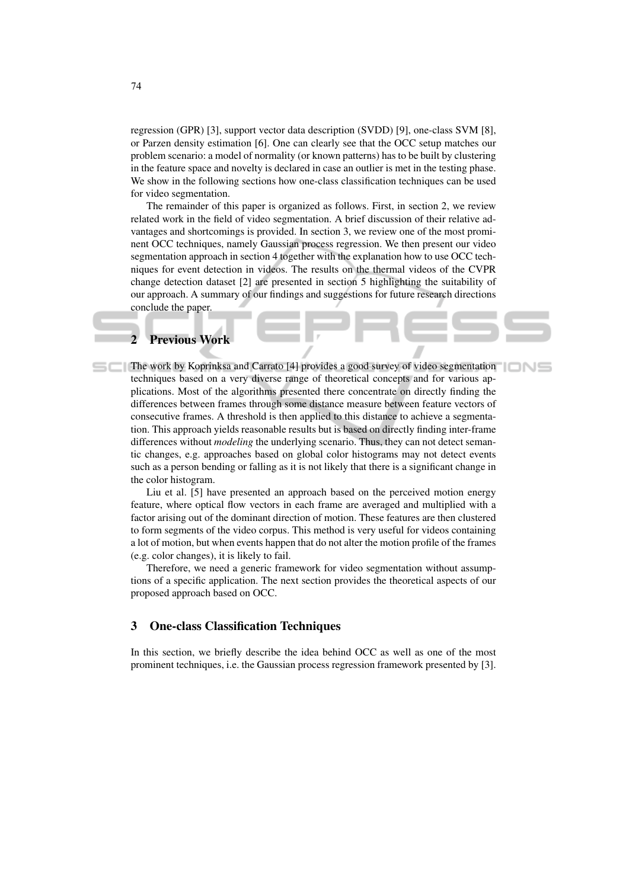regression (GPR) [3], support vector data description (SVDD) [9], one-class SVM [8], or Parzen density estimation [6]. One can clearly see that the OCC setup matches our problem scenario: a model of normality (or known patterns) has to be built by clustering in the feature space and novelty is declared in case an outlier is met in the testing phase. We show in the following sections how one-class classification techniques can be used for video segmentation.

The remainder of this paper is organized as follows. First, in section 2, we review related work in the field of video segmentation. A brief discussion of their relative advantages and shortcomings is provided. In section 3, we review one of the most prominent OCC techniques, namely Gaussian process regression. We then present our video segmentation approach in section 4 together with the explanation how to use OCC techniques for event detection in videos. The results on the thermal videos of the CVPR change detection dataset [2] are presented in section 5 highlighting the suitability of our approach. A summary of our findings and suggestions for future research directions conclude the paper.

# 2 Previous Work

The work by Koprinksa and Carrato [4] provides a good survey of video segmentation techniques based on a very diverse range of theoretical concepts and for various applications. Most of the algorithms presented there concentrate on directly finding the differences between frames through some distance measure between feature vectors of consecutive frames. A threshold is then applied to this distance to achieve a segmentation. This approach yields reasonable results but is based on directly finding inter-frame differences without *modeling* the underlying scenario. Thus, they can not detect semantic changes, e.g. approaches based on global color histograms may not detect events such as a person bending or falling as it is not likely that there is a significant change in the color histogram.

Liu et al. [5] have presented an approach based on the perceived motion energy feature, where optical flow vectors in each frame are averaged and multiplied with a factor arising out of the dominant direction of motion. These features are then clustered to form segments of the video corpus. This method is very useful for videos containing a lot of motion, but when events happen that do not alter the motion profile of the frames (e.g. color changes), it is likely to fail.

Therefore, we need a generic framework for video segmentation without assumptions of a specific application. The next section provides the theoretical aspects of our proposed approach based on OCC.

# 3 One-class Classification Techniques

In this section, we briefly describe the idea behind OCC as well as one of the most prominent techniques, i.e. the Gaussian process regression framework presented by [3].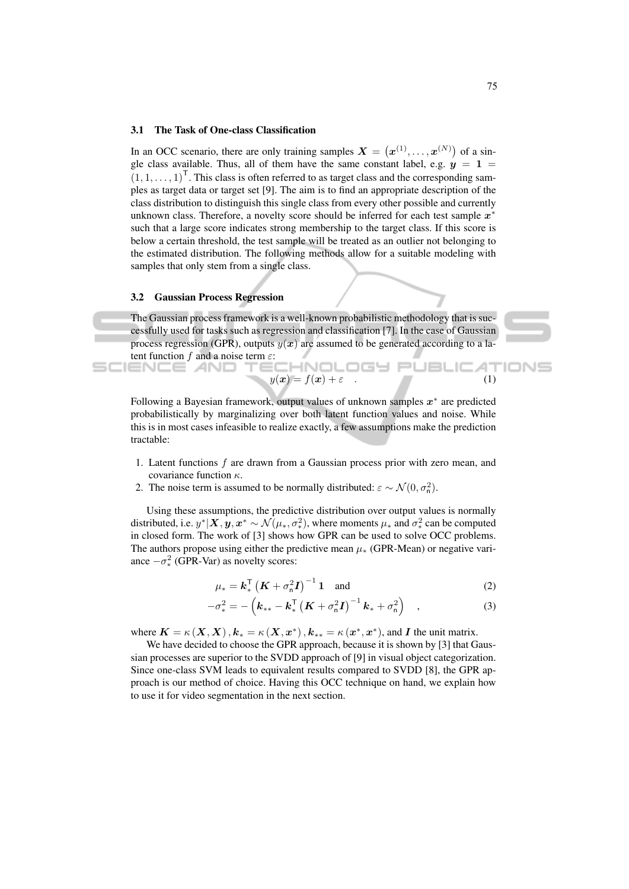### 3.1 The Task of One-class Classification

In an OCC scenario, there are only training samples  $X = (x^{(1)}, \dots, x^{(N)})$  of a single class available. Thus, all of them have the same constant label, e.g.  $y = 1$  $(1, 1, \ldots, 1)^{\mathsf{T}}$ . This class is often referred to as target class and the corresponding samples as target data or target set [9]. The aim is to find an appropriate description of the class distribution to distinguish this single class from every other possible and currently unknown class. Therefore, a novelty score should be inferred for each test sample  $x^*$ such that a large score indicates strong membership to the target class. If this score is below a certain threshold, the test sample will be treated as an outlier not belonging to the estimated distribution. The following methods allow for a suitable modeling with samples that only stem from a single class.

### 3.2 Gaussian Process Regression

The Gaussian process framework is a well-known probabilistic methodology that is successfully used for tasks such as regression and classification [7]. In the case of Gaussian process regression (GPR), outputs  $y(x)$  are assumed to be generated according to a latent function f and a noise term  $\varepsilon$ : HNOLOGY PUBLICAT IENCE *A*ND

$$
y(\boldsymbol{x}) = f(\boldsymbol{x}) + \varepsilon \tag{1}
$$

Following a Bayesian framework, output values of unknown samples  $x^*$  are predicted probabilistically by marginalizing over both latent function values and noise. While this is in most cases infeasible to realize exactly, a few assumptions make the prediction tractable:

- 1. Latent functions  $f$  are drawn from a Gaussian process prior with zero mean, and covariance function  $\kappa$ .
- 2. The noise term is assumed to be normally distributed:  $\varepsilon \sim \mathcal{N}(0, \sigma_n^2)$ .

Using these assumptions, the predictive distribution over output values is normally distributed, i.e.  $y^*|X, y, x^* \sim \mathcal{N}(\mu_*, \sigma_*^2)$ , where moments  $\mu_*$  and  $\sigma_*^2$  can be computed in closed form. The work of [3] shows how GPR can be used to solve OCC problems. The authors propose using either the predictive mean  $\mu_*$  (GPR-Mean) or negative variance  $-\sigma_*^2$  (GPR-Var) as novelty scores:

$$
\mu_* = \mathbf{k}_*^{\mathsf{T}} \left( \mathbf{K} + \sigma_n^2 \mathbf{I} \right)^{-1} \mathbf{1} \quad \text{and} \tag{2}
$$

$$
-\sigma_{*}^{2} = -\left(k_{**} - k_{*}^{\mathsf{T}}\left(K + \sigma_{n}^{2}I\right)^{-1}k_{*} + \sigma_{n}^{2}\right) , \qquad (3)
$$

where  $K = \kappa(X, X), k_* = \kappa(X, x^*)$ ,  $k_{**} = \kappa(x^*, x^*)$ , and I the unit matrix.

We have decided to choose the GPR approach, because it is shown by [3] that Gaussian processes are superior to the SVDD approach of [9] in visual object categorization. Since one-class SVM leads to equivalent results compared to SVDD [8], the GPR approach is our method of choice. Having this OCC technique on hand, we explain how to use it for video segmentation in the next section.

IONS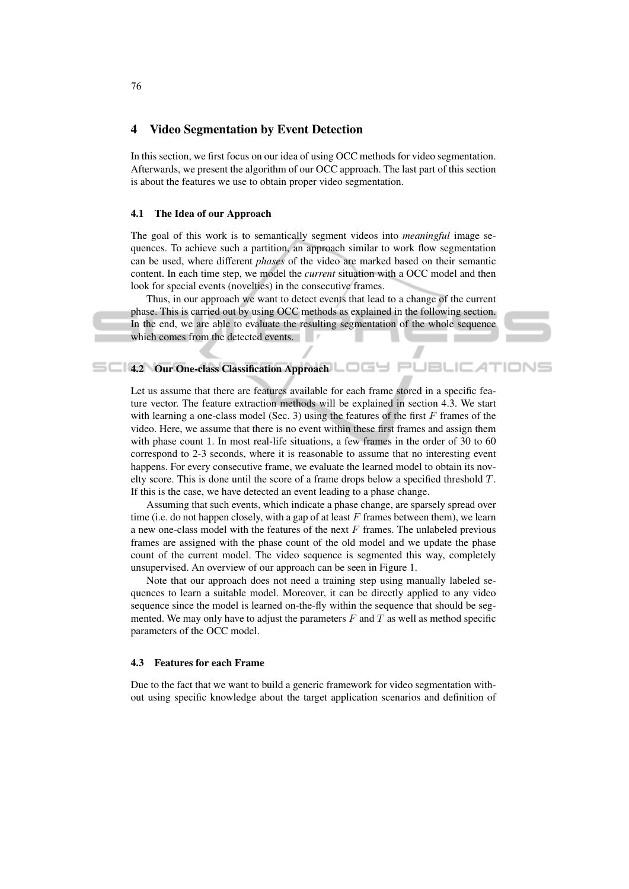# 4 Video Segmentation by Event Detection

In this section, we first focus on our idea of using OCC methods for video segmentation. Afterwards, we present the algorithm of our OCC approach. The last part of this section is about the features we use to obtain proper video segmentation.

### 4.1 The Idea of our Approach

The goal of this work is to semantically segment videos into *meaningful* image sequences. To achieve such a partition, an approach similar to work flow segmentation can be used, where different *phases* of the video are marked based on their semantic content. In each time step, we model the *current* situation with a OCC model and then look for special events (novelties) in the consecutive frames.

Thus, in our approach we want to detect events that lead to a change of the current phase. This is carried out by using OCC methods as explained in the following section. In the end, we are able to evaluate the resulting segmentation of the whole sequence which comes from the detected events.

#### **4.2 Our One-class Classification Approach**  $\Box$ PUBL  $IONS$

Let us assume that there are features available for each frame stored in a specific feature vector. The feature extraction methods will be explained in section 4.3. We start with learning a one-class model (Sec. 3) using the features of the first  $F$  frames of the video. Here, we assume that there is no event within these first frames and assign them with phase count 1. In most real-life situations, a few frames in the order of 30 to 60 correspond to 2-3 seconds, where it is reasonable to assume that no interesting event happens. For every consecutive frame, we evaluate the learned model to obtain its novelty score. This is done until the score of a frame drops below a specified threshold T. If this is the case, we have detected an event leading to a phase change.

Assuming that such events, which indicate a phase change, are sparsely spread over time (i.e. do not happen closely, with a gap of at least  $F$  frames between them), we learn a new one-class model with the features of the next  $F$  frames. The unlabeled previous frames are assigned with the phase count of the old model and we update the phase count of the current model. The video sequence is segmented this way, completely unsupervised. An overview of our approach can be seen in Figure 1.

Note that our approach does not need a training step using manually labeled sequences to learn a suitable model. Moreover, it can be directly applied to any video sequence since the model is learned on-the-fly within the sequence that should be segmented. We may only have to adjust the parameters  $F$  and  $T$  as well as method specific parameters of the OCC model.

### 4.3 Features for each Frame

Due to the fact that we want to build a generic framework for video segmentation without using specific knowledge about the target application scenarios and definition of

76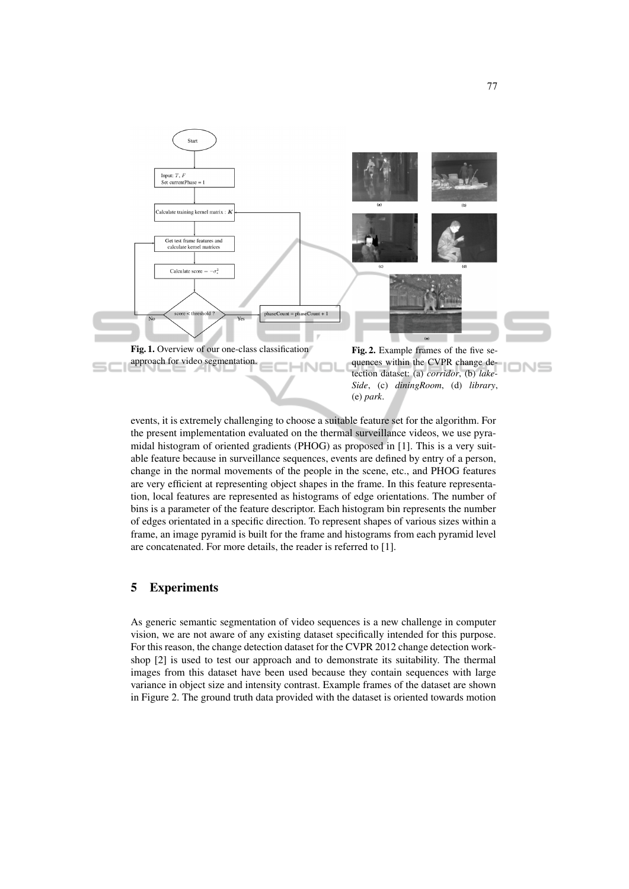

events, it is extremely challenging to choose a suitable feature set for the algorithm. For the present implementation evaluated on the thermal surveillance videos, we use pyramidal histogram of oriented gradients (PHOG) as proposed in [1]. This is a very suitable feature because in surveillance sequences, events are defined by entry of a person, change in the normal movements of the people in the scene, etc., and PHOG features are very efficient at representing object shapes in the frame. In this feature representation, local features are represented as histograms of edge orientations. The number of bins is a parameter of the feature descriptor. Each histogram bin represents the number of edges orientated in a specific direction. To represent shapes of various sizes within a frame, an image pyramid is built for the frame and histograms from each pyramid level are concatenated. For more details, the reader is referred to [1].

# 5 Experiments

As generic semantic segmentation of video sequences is a new challenge in computer vision, we are not aware of any existing dataset specifically intended for this purpose. For this reason, the change detection dataset for the CVPR 2012 change detection workshop [2] is used to test our approach and to demonstrate its suitability. The thermal images from this dataset have been used because they contain sequences with large variance in object size and intensity contrast. Example frames of the dataset are shown in Figure 2. The ground truth data provided with the dataset is oriented towards motion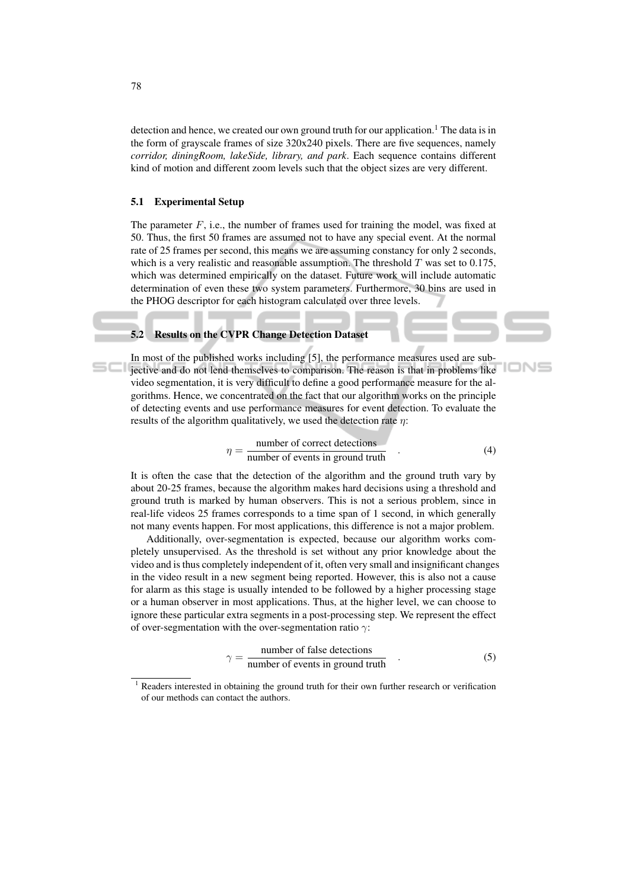detection and hence, we created our own ground truth for our application.<sup>1</sup> The data is in the form of grayscale frames of size 320x240 pixels. There are five sequences, namely *corridor, diningRoom, lakeSide, library, and park*. Each sequence contains different kind of motion and different zoom levels such that the object sizes are very different.

### 5.1 Experimental Setup

The parameter  $F$ , i.e., the number of frames used for training the model, was fixed at 50. Thus, the first 50 frames are assumed not to have any special event. At the normal rate of 25 frames per second, this means we are assuming constancy for only 2 seconds, which is a very realistic and reasonable assumption. The threshold  $T$  was set to 0.175, which was determined empirically on the dataset. Future work will include automatic determination of even these two system parameters. Furthermore, 30 bins are used in the PHOG descriptor for each histogram calculated over three levels.

### 5.2 Results on the CVPR Change Detection Dataset

In most of the published works including [5], the performance measures used are subjective and do not lend themselves to comparison. The reason is that in problems like video segmentation, it is very difficult to define a good performance measure for the algorithms. Hence, we concentrated on the fact that our algorithm works on the principle of detecting events and use performance measures for event detection. To evaluate the results of the algorithm qualitatively, we used the detection rate  $\eta$ :

$$
\eta = \frac{\text{number of correct detections}}{\text{number of events in ground truth}} \tag{4}
$$

IONS

It is often the case that the detection of the algorithm and the ground truth vary by about 20-25 frames, because the algorithm makes hard decisions using a threshold and ground truth is marked by human observers. This is not a serious problem, since in real-life videos 25 frames corresponds to a time span of 1 second, in which generally not many events happen. For most applications, this difference is not a major problem.

Additionally, over-segmentation is expected, because our algorithm works completely unsupervised. As the threshold is set without any prior knowledge about the video and is thus completely independent of it, often very small and insignificant changes in the video result in a new segment being reported. However, this is also not a cause for alarm as this stage is usually intended to be followed by a higher processing stage or a human observer in most applications. Thus, at the higher level, we can choose to ignore these particular extra segments in a post-processing step. We represent the effect of over-segmentation with the over-segmentation ratio  $\gamma$ :

$$
\gamma = \frac{\text{number of false detections}}{\text{number of events in ground truth}} \tag{5}
$$

Readers interested in obtaining the ground truth for their own further research or verification of our methods can contact the authors.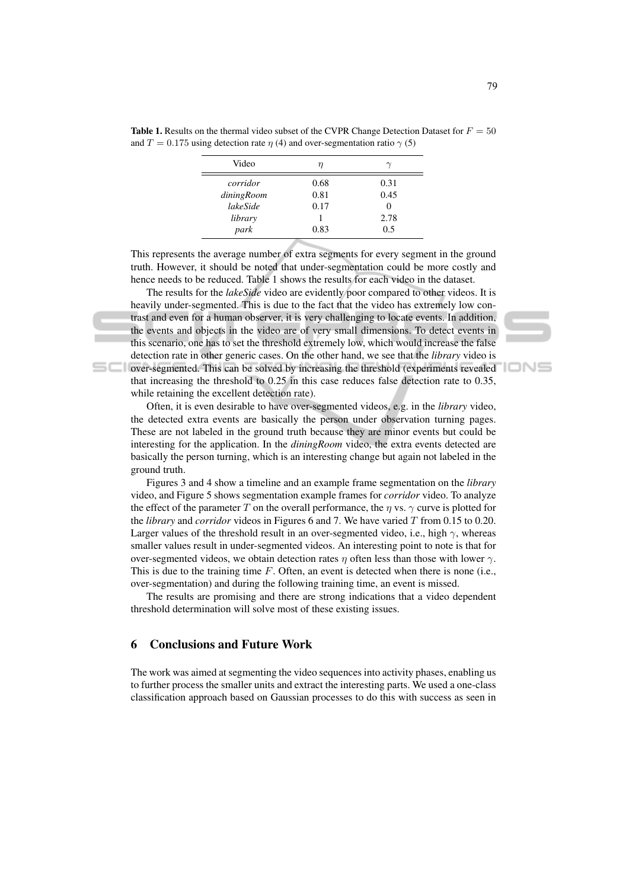| Video      | η    |      |
|------------|------|------|
| corridor   | 0.68 | 0.31 |
| diningRoom | 0.81 | 0.45 |
| lakeSide   | 0.17 | 0    |
| library    |      | 2.78 |
| park       | 0.83 | 0.5  |
|            |      |      |

Table 1. Results on the thermal video subset of the CVPR Change Detection Dataset for  $F = 50$ and  $T = 0.175$  using detection rate  $\eta$  (4) and over-segmentation ratio  $\gamma$  (5)

| This represents the average number of extra segments for every segment in the ground |
|--------------------------------------------------------------------------------------|
| truth. However, it should be noted that under-segmentation could be more costly and  |
| hence needs to be reduced. Table 1 shows the results for each video in the dataset.  |

The results for the *lakeSide* video are evidently poor compared to other videos. It is heavily under-segmented. This is due to the fact that the video has extremely low contrast and even for a human observer, it is very challenging to locate events. In addition, the events and objects in the video are of very small dimensions. To detect events in this scenario, one has to set the threshold extremely low, which would increase the false detection rate in other generic cases. On the other hand, we see that the *library* video is **Experiments revealed** over-segmented. This can be solved by increasing the threshold (experiments revealed that increasing the threshold to 0.25 in this case reduces false detection rate to 0.35, while retaining the excellent detection rate).

Often, it is even desirable to have over-segmented videos, e.g. in the *library* video, the detected extra events are basically the person under observation turning pages. These are not labeled in the ground truth because they are minor events but could be interesting for the application. In the *diningRoom* video, the extra events detected are basically the person turning, which is an interesting change but again not labeled in the ground truth.

Figures 3 and 4 show a timeline and an example frame segmentation on the *library* video, and Figure 5 shows segmentation example frames for *corridor* video. To analyze the effect of the parameter T on the overall performance, the  $\eta$  vs.  $\gamma$  curve is plotted for the *library* and *corridor* videos in Figures 6 and 7. We have varied T from 0.15 to 0.20. Larger values of the threshold result in an over-segmented video, i.e., high  $\gamma$ , whereas smaller values result in under-segmented videos. An interesting point to note is that for over-segmented videos, we obtain detection rates  $\eta$  often less than those with lower  $\gamma$ . This is due to the training time  $F$ . Often, an event is detected when there is none (i.e., over-segmentation) and during the following training time, an event is missed.

The results are promising and there are strong indications that a video dependent threshold determination will solve most of these existing issues.

# 6 Conclusions and Future Work

The work was aimed at segmenting the video sequences into activity phases, enabling us to further process the smaller units and extract the interesting parts. We used a one-class classification approach based on Gaussian processes to do this with success as seen in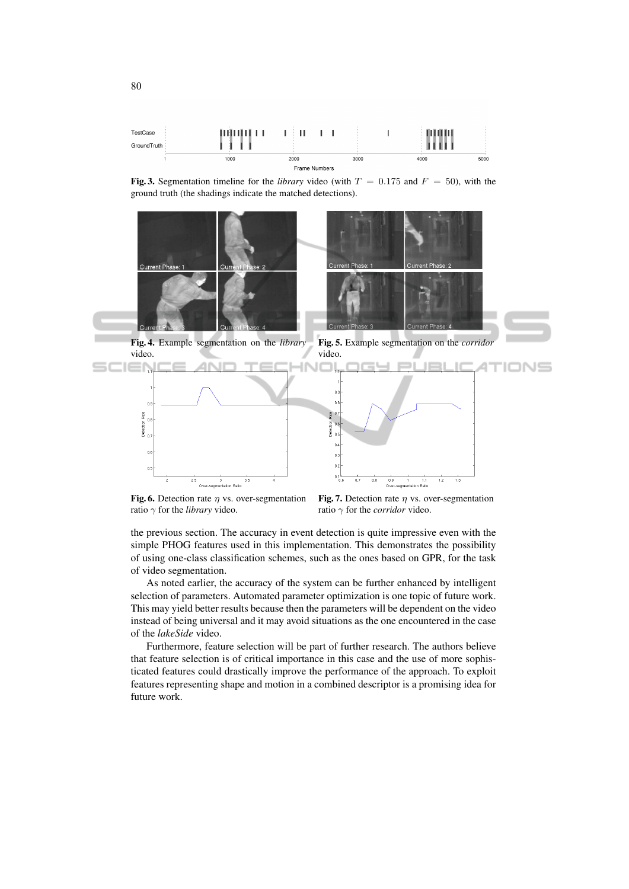

**Fig. 3.** Segmentation timeline for the *library* video (with  $T = 0.175$  and  $F = 50$ ), with the ground truth (the shadings indicate the matched detections).



Fig. 6. Detection rate  $\eta$  vs. over-segmentation ratio  $\gamma$  for the *library* video.

Fig. 7. Detection rate  $\eta$  vs. over-segmentation ratio γ for the *corridor* video.

the previous section. The accuracy in event detection is quite impressive even with the simple PHOG features used in this implementation. This demonstrates the possibility of using one-class classification schemes, such as the ones based on GPR, for the task of video segmentation.

As noted earlier, the accuracy of the system can be further enhanced by intelligent selection of parameters. Automated parameter optimization is one topic of future work. This may yield better results because then the parameters will be dependent on the video instead of being universal and it may avoid situations as the one encountered in the case of the *lakeSide* video.

Furthermore, feature selection will be part of further research. The authors believe that feature selection is of critical importance in this case and the use of more sophisticated features could drastically improve the performance of the approach. To exploit features representing shape and motion in a combined descriptor is a promising idea for future work.